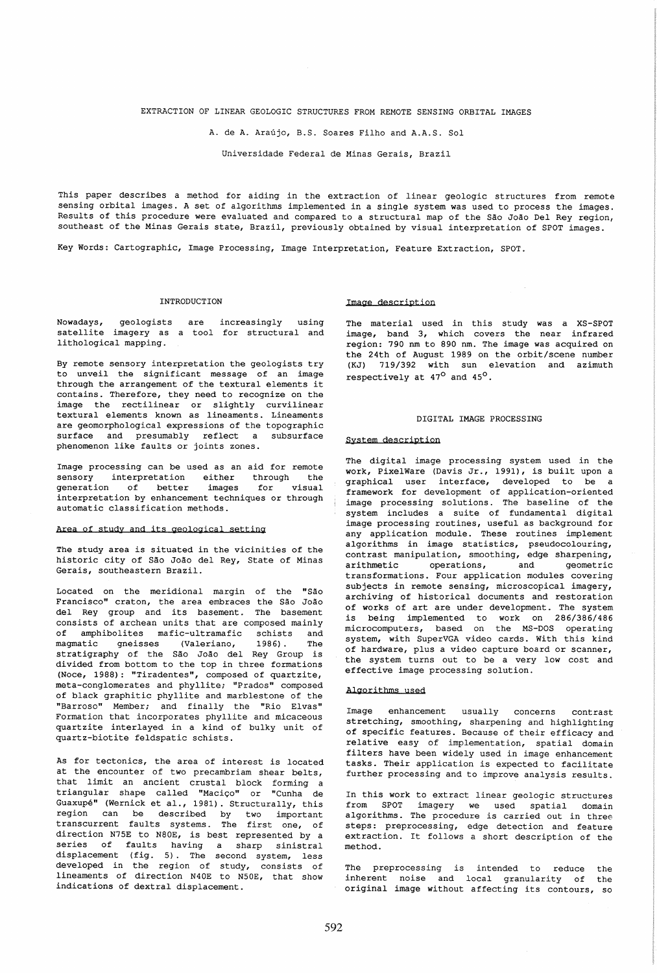# EXTRACTION OF LINEAR GEOLOGIC STRUCTURES FROM REMOTE SENSING ORBITAL IMAGES

A. de A. Araujo, B.S. Soares Filho and A.A.S. Sol

Universidade Federal de Minas Gerais, Brazil

This paper describes a method for aiding in the extraction of linear geologic structures from remote sensing orbital images. A set of algorithms implemented in a single system was used to process the images. Results of this procedure were evaluated and compared to a structural map of the São João Del Rey region, southeast of the Minas Gerais state, Brazil, previously obtained by visual interpretation of SPOT images.

Key Words: Cartographic, Image Processing, Image Interpretation, Feature Extraction, SPOT.

# INTRODUCTION

Nowadays, geologists are satellite imagery as a tool for structural and lithological mapping. increasingly using

By remote sensory interpretation the geologists try to unveil the significant message of an image through the arrangement of the textural elements it contains. Therefore, they need to recognize on the image the rectilinear or slightly curvilinear textural elements known as lineaments. Lineaments are geomorphological expressions of the topographic surface and presumably reflect a subsurface phenomenon like faults or joints zones.

Image processing can be used as an aid for remote sensory interpretation either through the<br>generation of better images for visual generation of better images for visual interpretation by enhancement techniques or through automatic classification methods.

# Area of study and its geological setting

The study area is situated in the vicinities of the historic city of São João del Rey, State of Minas Gerais, southeastern Brazil.

Located on the meridional margin of the "São Francisco" craton, the area embraces the São João del Rey group and its basement. The basement consists of archean units that are composed mainly of amphibolites mafic-ultramafic schists and<br>magmatic gneisses (Valeriano, 1986). The magmatic gneisses (Valeriano, 1986) . The stratigraphy of the Sao Joao del Rey Group is divided from bottom to the top in three formations (Noce, 1988): "Tiradentes", composed of quartzite, meta-conglomerates and phyllite; "Prados" composed of black graphitic phyllite and marblestone of the "Barroso" Member; and finally the "Rio Elvas" Formation that incorporates phyllite and micaceous quartzite interlayed in a kind of bulky unit of quartz-biotite feldspatic schists.

As for tectonics, the area of interest is located at the encounter of two precambriam shear belts, that limit an ancient crustal block forming a triangular shape called "Maciço" or "Cunha de Guaxupe" (Wernick et al., 1981). Structurally, this region can be described by two important transcurrent faults systems. The first one, of direction N75E to N80E, is best represented by a series of faults having a sharp sinistral displacement (fig. 5). The second system, less developed in the region of study, consists of lineaments of direction N40E to N50E, that show indications of dextral displacement.

# Image description

The material used in this study was a XS-SPOT image, band 3, which covers the near infrared region: 790 nm to 890 nm. The image was acquired on the 24th of August 1989 on the orbit/scene number (KJ) 719/392 with sun elevation and azimuth respectively at  $47^{\circ}$  and  $45^{\circ}$ .

### DIGITAL IMAGE PROCESSING

#### System description

The digital image processing system used in the work, PixelWare (Davis Jr., 1991), is built upon a graphical user interface, developed to be a framework for development of application-oriented image processing solutions. The baseline of the system includes a suite of fundamental digital image processing routines, useful as background for any application module. These routines implement algorithms in image statistics, pseudocolouring, contrast manipulation, smoothing, edge sharpening, operations, and geometric transformations. Four application modules covering subjects in remote sensing, microscopical imagery, archiving of historical documents and restoration of works of art are under development. The system is being implemented to work on 286/386/486 microcomputers, based on the MS-DOS operating system, with SuperVGA video cards. With this kind of hardware, plus a video capture board or scanner, the system turns out to be a very low cost and effective image processing solution.

#### Algorithms used

Image enhancement usually concerns contrast stretching, smoothing, sharpening and highlighting of specific features. Because of their efficacy and relative easy of implementation, spatial domain filters have been widely used in image enhancement tasks. Their application is expected to facilitate further processing and to improve analysis results.

In this work to extract linear geologic structures from SPOT imagery we used spatial domain algorithms. The procedure is carried out in three steps: preprocessing, edge detection and feature extraction. It follows a short description of the method.

The preprocessing is intended to reduce the inherent noise and local granularity of the original image without affecting its contours, so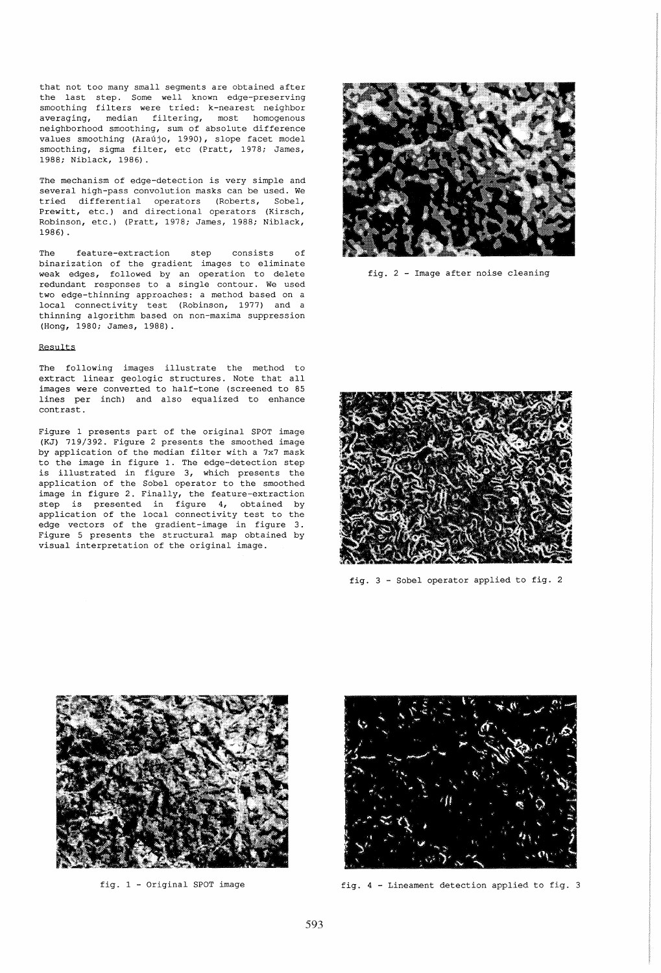that not too many small segments are obtained after the last step. Some well known edge-preserving smoothing filters were tried: k-nearest neighbor averaging, median filtering, most homogenous neighborhood smoothing, sum of absolute difference values smoothing (Araújo, 1990), slope facet model<br>smoothing, sigma filter, etc (Pratt, 1978; James, 1988; Niblack, 1986).

The mechanism of edge-detection is very simple and several high-pass convolution masks can be used. We tried differential operators (Roberts, Sobel, Prewitt, etc.) and directional operators (Kirsch, Robinson, etc.) (Pratt, 1978; James, 1988; Niblack, 1986) .

The feature-extraction step consists of binarization of the gradient images to eliminate weak edges, followed by an operation to delete redundant responses to a single contour. We used two edge-thinning approaches: a method based on a local connectivity test (Robinson, 1977) and a thinning algorithm based on non-maxima suppression (Hong, 1980; James, 1988).

# Results

The following images illustrate the method to extract linear geologic structures. Note that all images were converted to half-tone (screened to 85 lines per inch) and also equalized to enhance contrast.

Figure 1 presents part of the original SPOT image (KJ) 719/392. Figure 2 presents the smoothed image by application of the median filter with a 7x7 mask to the image in figure 1. The edge-detection step is illustrated in figure 3, which presents the application of the Sobel operator to the smoothed image in figure 2. Finally, the feature-extraction step is presented in figure **4,** obtained by application of the local connectivity test to the edge vectors of the gradient-image in figure 3. Figure 5 presents the structural map obtained by visual interpretation of the original image.



fig. 2 - Image after noise cleaning



fig. 3 - Sobel operator applied to fig. 2



fig. 1 - Original SPOT image



fig. 4 - Lineament detection applied to fig. 3